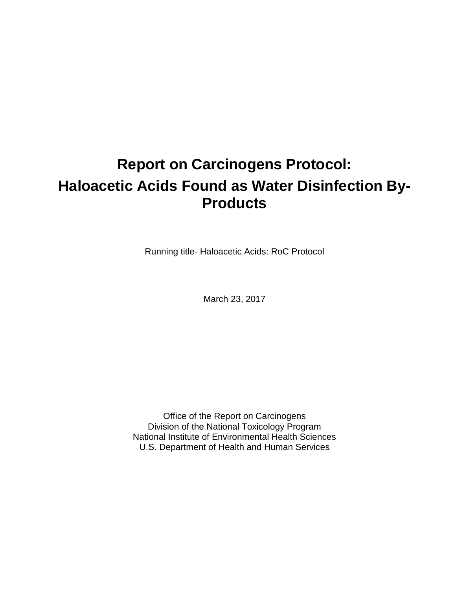# **Report on Carcinogens Protocol: Haloacetic Acids Found as Water Disinfection By-Products**

Running title- Haloacetic Acids: RoC Protocol

March 23, 2017

Office of the Report on Carcinogens Division of the National Toxicology Program National Institute of Environmental Health Sciences U.S. Department of Health and Human Services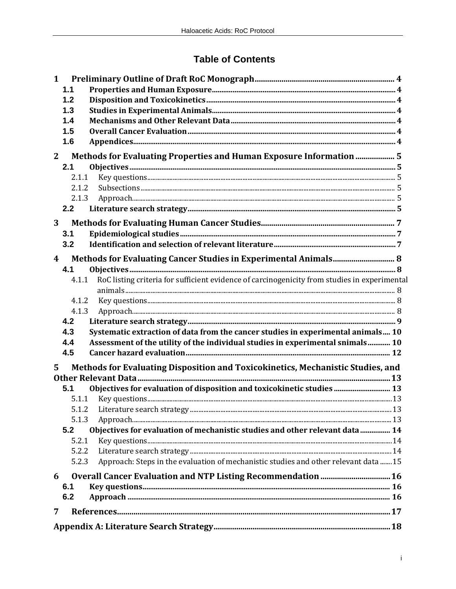# **Table of Contents**

| $\mathbf{1}$     |       |                                                                                              |  |
|------------------|-------|----------------------------------------------------------------------------------------------|--|
|                  | 1.1   |                                                                                              |  |
|                  | 1.2   |                                                                                              |  |
|                  | 1.3   |                                                                                              |  |
|                  | 1.4   |                                                                                              |  |
|                  | 1.5   |                                                                                              |  |
|                  | 1.6   |                                                                                              |  |
| $\mathbf{2}$     |       | Methods for Evaluating Properties and Human Exposure Information  5                          |  |
|                  | 2.1   |                                                                                              |  |
|                  | 2.1.1 |                                                                                              |  |
|                  | 2.1.2 |                                                                                              |  |
|                  | 2.1.3 |                                                                                              |  |
|                  | 2.2   |                                                                                              |  |
| 3                |       |                                                                                              |  |
|                  | 3.1   |                                                                                              |  |
|                  | 3.2   |                                                                                              |  |
| $\boldsymbol{4}$ |       | Methods for Evaluating Cancer Studies in Experimental Animals 8                              |  |
|                  | 4.1   |                                                                                              |  |
|                  | 4.1.1 | RoC listing criteria for sufficient evidence of carcinogenicity from studies in experimental |  |
|                  |       |                                                                                              |  |
|                  | 4.1.2 |                                                                                              |  |
|                  | 4.1.3 |                                                                                              |  |
|                  | 4.2   |                                                                                              |  |
|                  | 4.3   | Systematic extraction of data from the cancer studies in experimental animals 10             |  |
|                  | 4.4   | Assessment of the utility of the individual studies in experimental snimals 10               |  |
|                  | 4.5   |                                                                                              |  |
| 5                |       | Methods for Evaluating Disposition and Toxicokinetics, Mechanistic Studies, and              |  |
|                  |       |                                                                                              |  |
|                  | 5.1   | Objectives for evaluation of disposition and toxicokinetic studies  13                       |  |
|                  | 5.1.1 |                                                                                              |  |
|                  | 5.1.2 |                                                                                              |  |
|                  | 5.1.3 |                                                                                              |  |
|                  | 5.2   | Objectives for evaluation of mechanistic studies and other relevant data  14                 |  |
|                  | 5.2.1 |                                                                                              |  |
|                  | 5.2.2 |                                                                                              |  |
|                  | 5.2.3 | Approach: Steps in the evaluation of mechanistic studies and other relevant data  15         |  |
| 6                |       | Overall Cancer Evaluation and NTP Listing Recommendation  16                                 |  |
|                  | 6.1   |                                                                                              |  |
|                  | 6.2   |                                                                                              |  |
| 7                |       |                                                                                              |  |
|                  |       |                                                                                              |  |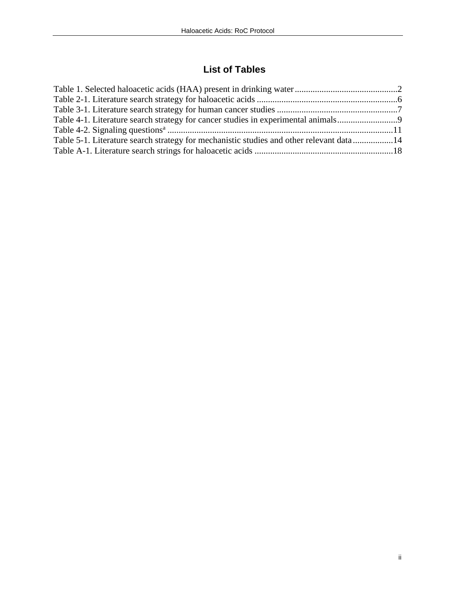# **List of Tables**

| Table 4-1. Literature search strategy for cancer studies in experimental animals        |  |
|-----------------------------------------------------------------------------------------|--|
|                                                                                         |  |
| Table 5-1. Literature search strategy for mechanistic studies and other relevant data14 |  |
|                                                                                         |  |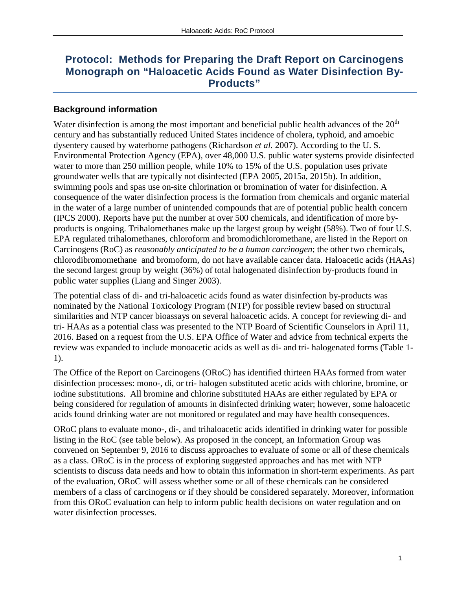# **Protocol: Methods for Preparing the Draft Report on Carcinogens Monograph on "Haloacetic Acids Found as Water Disinfection By-Products"**

#### **Background information**

Water disinfection is among the most important and beneficial public health advances of the  $20<sup>th</sup>$ century and has substantially reduced United States incidence of cholera, typhoid, and amoebic dysentery caused by waterborne pathogens (Richardson *et al.* 2007). According to the U. S. Environmental Protection Agency (EPA), over 48,000 U.S. public water systems provide disinfected water to more than 250 million people, while 10% to 15% of the U.S. population uses private groundwater wells that are typically not disinfected (EPA 2005, 2015a, 2015b). In addition, swimming pools and spas use on-site chlorination or bromination of water for disinfection. A consequence of the water disinfection process is the formation from chemicals and organic material in the water of a large number of unintended compounds that are of potential public health concern (IPCS 2000). Reports have put the number at over 500 chemicals, and identification of more byproducts is ongoing. Trihalomethanes make up the largest group by weight (58%). Two of four U.S. EPA regulated trihalomethanes, chloroform and bromodichloromethane, are listed in the Report on Carcinogens (RoC) as *reasonably anticipated to be a human carcinogen*; the other two chemicals, chlorodibromomethane and bromoform, do not have available cancer data. Haloacetic acids (HAAs) the second largest group by weight (36%) of total halogenated disinfection by-products found in public water supplies (Liang and Singer 2003).

The potential class of di- and tri-haloacetic acids found as water disinfection by-products was nominated by the National Toxicology Program (NTP) for possible review based on structural similarities and NTP cancer bioassays on several haloacetic acids. A concept for reviewing di- and tri- HAAs as a potential class was presented to the NTP Board of Scientific Counselors in April 11, 2016. Based on a request from the U.S. EPA Office of Water and advice from technical experts the review was expanded to include monoacetic acids as well as di- and tri- halogenated forms (Table 1- 1).

The Office of the Report on Carcinogens (ORoC) has identified thirteen HAAs formed from water disinfection processes: mono-, di, or tri- halogen substituted acetic acids with chlorine, bromine, or iodine substitutions. All bromine and chlorine substituted HAAs are either regulated by EPA or being considered for regulation of amounts in disinfected drinking water; however, some haloacetic acids found drinking water are not monitored or regulated and may have health consequences.

ORoC plans to evaluate mono-, di-, and trihaloacetic acids identified in drinking water for possible listing in the RoC (see table below). As proposed in the concept, an Information Group was convened on September 9, 2016 to discuss approaches to evaluate of some or all of these chemicals as a class. ORoC is in the process of exploring suggested approaches and has met with NTP scientists to discuss data needs and how to obtain this information in short-term experiments. As part of the evaluation, ORoC will assess whether some or all of these chemicals can be considered members of a class of carcinogens or if they should be considered separately. Moreover, information from this ORoC evaluation can help to inform public health decisions on water regulation and on water disinfection processes.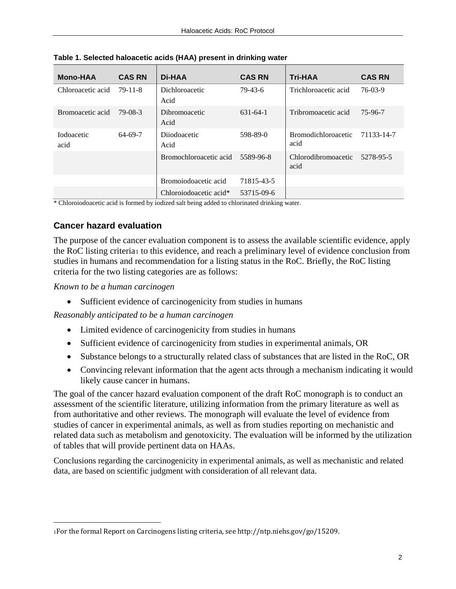| <b>Mono-HAA</b>            | <b>CAS RN</b> | Di-HAA                 | <b>CAS RN</b>  | <b>Tri-HAA</b>                     | <b>CAS RN</b> |
|----------------------------|---------------|------------------------|----------------|------------------------------------|---------------|
| Chloroacetic acid          | 79-11-8       | Dichloroacetic<br>Acid | 79-43-6        | Trichloroacetic acid               | 76-03-9       |
| Bromoacetic acid           | 79-08-3       | Dibromoacetic<br>Acid  | $631 - 64 - 1$ | Tribromoacetic acid                | 75-96-7       |
| <b>I</b> odoacetic<br>acid | 64-69-7       | Dijodoacetic<br>Acid   | 598-89-0       | <b>Bromodichloroacetic</b><br>acid | 71133-14-7    |
|                            |               | Bromochloroacetic acid | 5589-96-8      | Chlorodibromoacetic<br>acid        | 5278-95-5     |
|                            |               | Bromoiodoacetic acid   | 71815-43-5     |                                    |               |
|                            |               | Chloroiodoacetic acid* | 53715-09-6     |                                    |               |

**Table 1. Selected haloacetic acids (HAA) present in drinking water**

\* Chloroiodoacetic acid is formed by iodized salt being added to chlorinated drinking water.

#### **Cancer hazard evaluation**

The purpose of the cancer evaluation component is to assess the available scientific evidence, apply the RoC listing criteria[1](#page-5-0) to this evidence, and reach a preliminary level of evidence conclusion from studies in humans and recommendation for a listing status in the RoC. Briefly, the RoC listing criteria for the two listing categories are as follows:

*Known to be a human carcinogen*

 $\overline{a}$ 

• Sufficient evidence of carcinogenicity from studies in humans

*Reasonably anticipated to be a human carcinogen*

- Limited evidence of carcinogenicity from studies in humans
- Sufficient evidence of carcinogenicity from studies in experimental animals, OR
- Substance belongs to a structurally related class of substances that are listed in the RoC, OR
- Convincing relevant information that the agent acts through a mechanism indicating it would likely cause cancer in humans.

The goal of the cancer hazard evaluation component of the draft RoC monograph is to conduct an assessment of the scientific literature, utilizing information from the primary literature as well as from authoritative and other reviews. The monograph will evaluate the level of evidence from studies of cancer in experimental animals, as well as from studies reporting on mechanistic and related data such as metabolism and genotoxicity. The evaluation will be informed by the utilization of tables that will provide pertinent data on HAAs.

Conclusions regarding the carcinogenicity in experimental animals, as well as mechanistic and related data, are based on scientific judgment with consideration of all relevant data.

<span id="page-5-0"></span><sup>1</sup>For the formal Report on Carcinogens listing criteria, see http://ntp.niehs.gov/go/15209.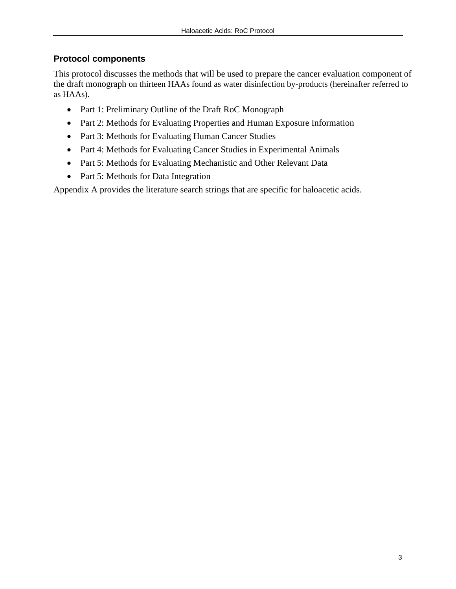## **Protocol components**

This protocol discusses the methods that will be used to prepare the cancer evaluation component of the draft monograph on thirteen HAAs found as water disinfection by-products (hereinafter referred to as HAAs).

- Part 1: Preliminary Outline of the Draft RoC Monograph
- Part 2: Methods for Evaluating Properties and Human Exposure Information
- Part 3: Methods for Evaluating Human Cancer Studies
- Part 4: Methods for Evaluating Cancer Studies in Experimental Animals
- Part 5: Methods for Evaluating Mechanistic and Other Relevant Data
- Part 5: Methods for Data Integration

Appendix A provides the literature search strings that are specific for haloacetic acids.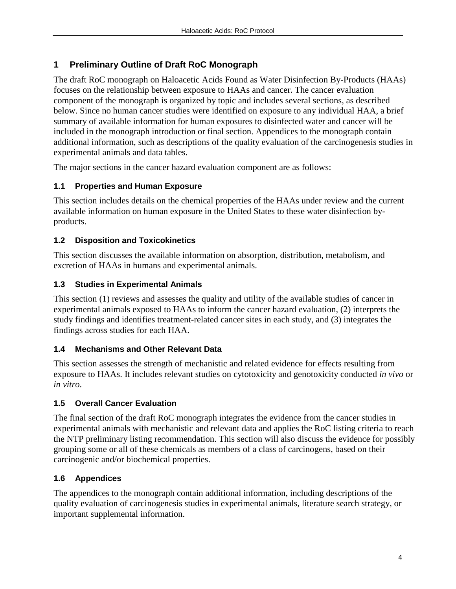## **1 Preliminary Outline of Draft RoC Monograph**

The draft RoC monograph on Haloacetic Acids Found as Water Disinfection By-Products (HAAs) focuses on the relationship between exposure to HAAs and cancer. The cancer evaluation component of the monograph is organized by topic and includes several sections, as described below. Since no human cancer studies were identified on exposure to any individual HAA, a brief summary of available information for human exposures to disinfected water and cancer will be included in the monograph introduction or final section. Appendices to the monograph contain additional information, such as descriptions of the quality evaluation of the carcinogenesis studies in experimental animals and data tables.

The major sections in the cancer hazard evaluation component are as follows:

## **1.1 Properties and Human Exposure**

This section includes details on the chemical properties of the HAAs under review and the current available information on human exposure in the United States to these water disinfection byproducts.

## **1.2 Disposition and Toxicokinetics**

This section discusses the available information on absorption, distribution, metabolism, and excretion of HAAs in humans and experimental animals.

## **1.3 Studies in Experimental Animals**

This section (1) reviews and assesses the quality and utility of the available studies of cancer in experimental animals exposed to HAAs to inform the cancer hazard evaluation, (2) interprets the study findings and identifies treatment-related cancer sites in each study, and (3) integrates the findings across studies for each HAA.

#### **1.4 Mechanisms and Other Relevant Data**

This section assesses the strength of mechanistic and related evidence for effects resulting from exposure to HAAs. It includes relevant studies on cytotoxicity and genotoxicity conducted *in vivo* or *in vitro*.

#### **1.5 Overall Cancer Evaluation**

The final section of the draft RoC monograph integrates the evidence from the cancer studies in experimental animals with mechanistic and relevant data and applies the RoC listing criteria to reach the NTP preliminary listing recommendation. This section will also discuss the evidence for possibly grouping some or all of these chemicals as members of a class of carcinogens, based on their carcinogenic and/or biochemical properties.

## **1.6 Appendices**

The appendices to the monograph contain additional information, including descriptions of the quality evaluation of carcinogenesis studies in experimental animals, literature search strategy, or important supplemental information.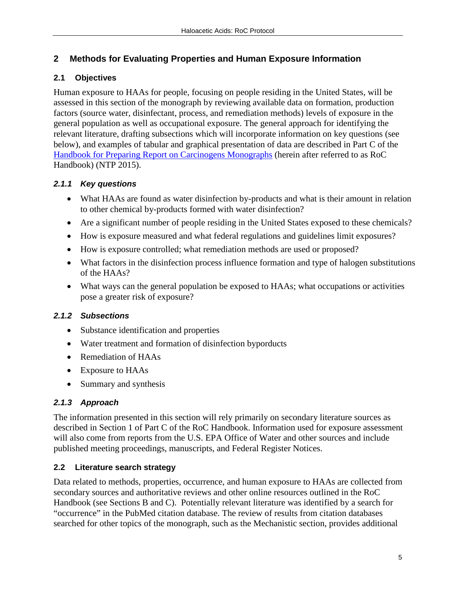## **2 Methods for Evaluating Properties and Human Exposure Information**

## **2.1 Objectives**

Human exposure to HAAs for people, focusing on people residing in the United States, will be assessed in this section of the monograph by reviewing available data on formation, production factors (source water, disinfectant, process, and remediation methods) levels of exposure in the general population as well as occupational exposure. The general approach for identifying the relevant literature, drafting subsections which will incorporate information on key questions (see below), and examples of tabular and graphical presentation of data are described in Part C of the [Handbook for Preparing Report on Carcinogens Monographs](https://ntp.niehs.nih.gov/pubhealth/roc/handbook/index.html) (herein after referred to as RoC Handbook) (NTP 2015).

## *2.1.1 Key questions*

- What HAAs are found as water disinfection by-products and what is their amount in relation to other chemical by-products formed with water disinfection?
- Are a significant number of people residing in the United States exposed to these chemicals?
- How is exposure measured and what federal regulations and guidelines limit exposures?
- How is exposure controlled; what remediation methods are used or proposed?
- What factors in the disinfection process influence formation and type of halogen substitutions of the HAAs?
- What ways can the general population be exposed to HAAs; what occupations or activities pose a greater risk of exposure?

## *2.1.2 Subsections*

- Substance identification and properties
- Water treatment and formation of disinfection byporducts
- Remediation of HAAs
- Exposure to HAAs
- Summary and synthesis

## *2.1.3 Approach*

The information presented in this section will rely primarily on secondary literature sources as described in Section 1 of Part C of the RoC Handbook. Information used for exposure assessment will also come from reports from the U.S. EPA Office of Water and other sources and include published meeting proceedings, manuscripts, and Federal Register Notices.

## **2.2 Literature search strategy**

Data related to methods, properties, occurrence, and human exposure to HAAs are collected from secondary sources and authoritative reviews and other online resources outlined in the RoC Handbook (see Sections B and C). Potentially relevant literature was identified by a search for "occurrence" in the PubMed citation database. The review of results from citation databases searched for other topics of the monograph, such as the Mechanistic section, provides additional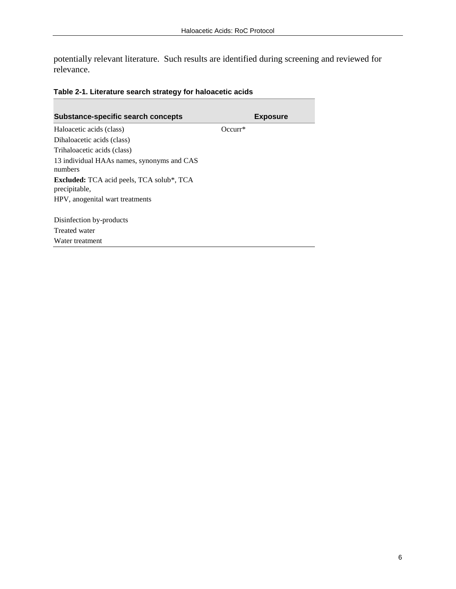potentially relevant literature. Such results are identified during screening and reviewed for relevance.

| Table 2-1. Literature search strategy for haloacetic acids |  |  |  |
|------------------------------------------------------------|--|--|--|
|------------------------------------------------------------|--|--|--|

| <b>Substance-specific search concepts</b>                         |           | <b>Exposure</b> |
|-------------------------------------------------------------------|-----------|-----------------|
| Haloacetic acids (class)                                          | $Occurr*$ |                 |
| Dihaloacetic acids (class)                                        |           |                 |
| Trihaloacetic acids (class)                                       |           |                 |
| 13 individual HAAs names, synonyms and CAS<br>numbers             |           |                 |
| <b>Excluded:</b> TCA acid peels, TCA solub*, TCA<br>precipitable, |           |                 |
| HPV, anogenital wart treatments                                   |           |                 |
| Disinfection by-products                                          |           |                 |
| Treated water                                                     |           |                 |
| Water treatment                                                   |           |                 |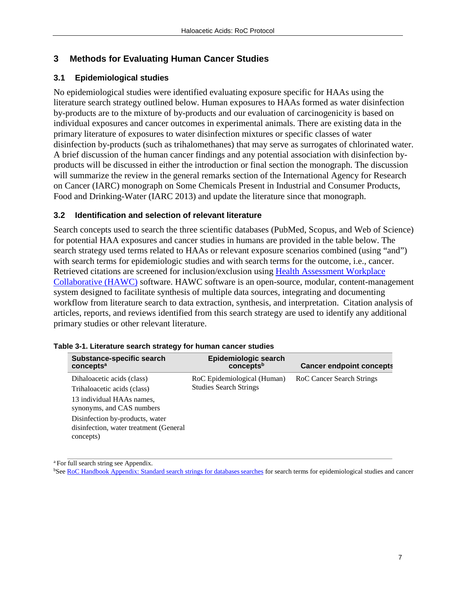#### **3 Methods for Evaluating Human Cancer Studies**

#### **3.1 Epidemiological studies**

No epidemiological studies were identified evaluating exposure specific for HAAs using the literature search strategy outlined below. Human exposures to HAAs formed as water disinfection by-products are to the mixture of by-products and our evaluation of carcinogenicity is based on individual exposures and cancer outcomes in experimental animals. There are existing data in the primary literature of exposures to water disinfection mixtures or specific classes of water disinfection by-products (such as trihalomethanes) that may serve as surrogates of chlorinated water. A brief discussion of the human cancer findings and any potential association with disinfection byproducts will be discussed in either the introduction or final section the monograph. The discussion will summarize the review in the general remarks section of the International Agency for Research on Cancer (IARC) monograph on Some Chemicals Present in Industrial and Consumer Products, Food and Drinking-Water (IARC 2013) and update the literature since that monograph.

#### **3.2 Identification and selection of relevant literature**

Search concepts used to search the three scientific databases (PubMed, Scopus, and Web of Science) for potential HAA exposures and cancer studies in humans are provided in the table below. The search strategy used terms related to HAAs or relevant exposure scenarios combined (using "and") with search terms for epidemiologic studies and with search terms for the outcome, i.e., cancer. Retrieved citations are screened for inclusion/exclusion using [Health Assessment Workplace](https://hawcproject.org/about/)  [Collaborative \(HAWC\)](https://hawcproject.org/about/) software. HAWC software is an open-source, modular, content-management system designed to facilitate synthesis of multiple data sources, integrating and documenting workflow from literature search to data extraction, synthesis, and interpretation. Citation analysis of articles, reports, and reviews identified from this search strategy are used to identify any additional primary studies or other relevant literature.

| Substance-specific search<br>concepts <sup>a</sup>                                     | Epidemiologic search<br>conceptsb | <b>Cancer endpoint concepts</b> |
|----------------------------------------------------------------------------------------|-----------------------------------|---------------------------------|
| Dihaloacetic acids (class)                                                             | RoC Epidemiological (Human)       | RoC Cancer Search Strings       |
| Trihaloacetic acids (class)                                                            | <b>Studies Search Strings</b>     |                                 |
| 13 individual HAAs names,<br>synonyms, and CAS numbers                                 |                                   |                                 |
| Disinfection by-products, water<br>disinfection, water treatment (General<br>concepts) |                                   |                                 |

a For full search string see Appendix.

**See RoC Handbook Appendix: Standard search strings for databases searches for search terms for epidemiological studies and cancer**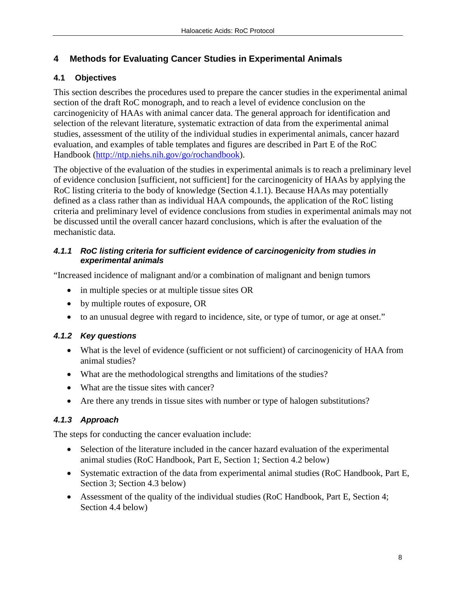## **4 Methods for Evaluating Cancer Studies in Experimental Animals**

## **4.1 Objectives**

This section describes the procedures used to prepare the cancer studies in the experimental animal section of the draft RoC monograph, and to reach a level of evidence conclusion on the carcinogenicity of HAAs with animal cancer data. The general approach for identification and selection of the relevant literature, systematic extraction of data from the experimental animal studies, assessment of the utility of the individual studies in experimental animals, cancer hazard evaluation, and examples of table templates and figures are described in Part E of the RoC Handbook [\(http://ntp.niehs.nih.gov/go/rochandbook\)](http://ntp.niehs.nih.gov/go/rochandbook).

The objective of the evaluation of the studies in experimental animals is to reach a preliminary level of evidence conclusion [sufficient, not sufficient] for the carcinogenicity of HAAs by applying the RoC listing criteria to the body of knowledge (Section 4.1.1). Because HAAs may potentially defined as a class rather than as individual HAA compounds, the application of the RoC listing criteria and preliminary level of evidence conclusions from studies in experimental animals may not be discussed until the overall cancer hazard conclusions, which is after the evaluation of the mechanistic data.

#### *4.1.1 RoC listing criteria for sufficient evidence of carcinogenicity from studies in experimental animals*

"Increased incidence of malignant and/or a combination of malignant and benign tumors

- in multiple species or at multiple tissue sites OR
- by multiple routes of exposure, OR
- to an unusual degree with regard to incidence, site, or type of tumor, or age at onset."

## *4.1.2 Key questions*

- What is the level of evidence (sufficient or not sufficient) of carcinogenicity of HAA from animal studies?
- What are the methodological strengths and limitations of the studies?
- What are the tissue sites with cancer?
- Are there any trends in tissue sites with number or type of halogen substitutions?

## *4.1.3 Approach*

The steps for conducting the cancer evaluation include:

- Selection of the literature included in the cancer hazard evaluation of the experimental animal studies (RoC Handbook, Part E, Section 1; Section 4.2 below)
- Systematic extraction of the data from experimental animal studies (RoC Handbook, Part E, Section 3; Section 4.3 below)
- Assessment of the quality of the individual studies (RoC Handbook, Part E, Section 4; Section 4.4 below)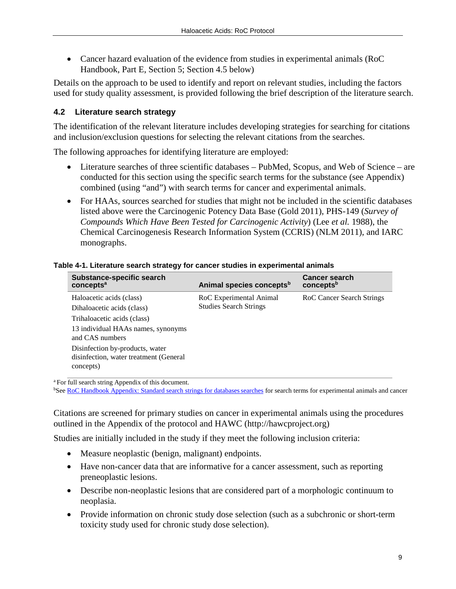• Cancer hazard evaluation of the evidence from studies in experimental animals (RoC Handbook, Part E, Section 5; Section 4.5 below)

Details on the approach to be used to identify and report on relevant studies, including the factors used for study quality assessment, is provided following the brief description of the literature search.

#### **4.2 Literature search strategy**

The identification of the relevant literature includes developing strategies for searching for citations and inclusion/exclusion questions for selecting the relevant citations from the searches.

The following approaches for identifying literature are employed:

- Literature searches of three scientific databases PubMed, Scopus, and Web of Science are conducted for this section using the specific search terms for the substance (see Appendix) combined (using "and") with search terms for cancer and experimental animals.
- For HAAs, sources searched for studies that might not be included in the scientific databases listed above were the Carcinogenic Potency Data Base (Gold 2011), PHS-149 (*Survey of Compounds Which Have Been Tested for Carcinogenic Activity*) (Lee *et al.* 1988), the Chemical Carcinogenesis Research Information System (CCRIS) (NLM 2011), and IARC monographs.

| Substance-specific search<br>concepts <sup>a</sup>                                                                                                                                                                                       | Animal species concepts <sup>b</sup>                     | <b>Cancer search</b><br>conceptsb |
|------------------------------------------------------------------------------------------------------------------------------------------------------------------------------------------------------------------------------------------|----------------------------------------------------------|-----------------------------------|
| Haloacetic acids (class)<br>Dihaloacetic acids (class)<br>Trihaloacetic acids (class)<br>13 individual HAAs names, synonyms<br>and CAS numbers<br>Disinfection by-products, water<br>disinfection, water treatment (General<br>concepts) | RoC Experimental Animal<br><b>Studies Search Strings</b> | RoC Cancer Search Strings         |

#### **Table 4-1. Literature search strategy for cancer studies in experimental animals**

a For full search string Appendix of this document.

**See RoC Handbook Appendix: Standard search strings for databases searches for search terms for experimental animals and cancer** 

Citations are screened for primary studies on cancer in experimental animals using the procedures outlined in the Appendix of the protocol and HAWC (http://hawcproject.org)

Studies are initially included in the study if they meet the following inclusion criteria:

- Measure neoplastic (benign, malignant) endpoints.
- Have non-cancer data that are informative for a cancer assessment, such as reporting preneoplastic lesions.
- Describe non-neoplastic lesions that are considered part of a morphologic continuum to neoplasia.
- Provide information on chronic study dose selection (such as a subchronic or short-term toxicity study used for chronic study dose selection).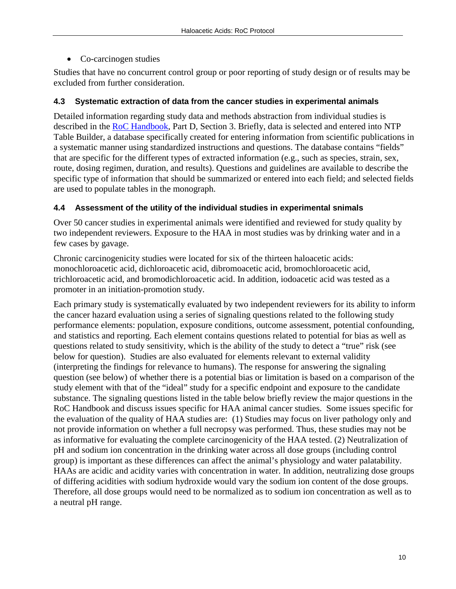• Co-carcinogen studies

Studies that have no concurrent control group or poor reporting of study design or of results may be excluded from further consideration.

#### **4.3 Systematic extraction of data from the cancer studies in experimental animals**

Detailed information regarding study data and methods abstraction from individual studies is described in the [RoC Handbook,](http://ntp.niehs.nih.gov/go/rochandbook) Part D, Section 3. Briefly, data is selected and entered into NTP Table Builder, a database specifically created for entering information from scientific publications in a systematic manner using standardized instructions and questions. The database contains "fields" that are specific for the different types of extracted information (e.g., such as species, strain, sex, route, dosing regimen, duration, and results). Questions and guidelines are available to describe the specific type of information that should be summarized or entered into each field; and selected fields are used to populate tables in the monograph.

#### **4.4 Assessment of the utility of the individual studies in experimental snimals**

Over 50 cancer studies in experimental animals were identified and reviewed for study quality by two independent reviewers. Exposure to the HAA in most studies was by drinking water and in a few cases by gavage.

Chronic carcinogenicity studies were located for six of the thirteen haloacetic acids: monochloroacetic acid, dichloroacetic acid, dibromoacetic acid, bromochloroacetic acid, trichloroacetic acid, and bromodichloroacetic acid. In addition, iodoacetic acid was tested as a promoter in an initiation-promotion study.

Each primary study is systematically evaluated by two independent reviewers for its ability to inform the cancer hazard evaluation using a series of signaling questions related to the following study performance elements: population, exposure conditions, outcome assessment, potential confounding, and statistics and reporting. Each element contains questions related to potential for bias as well as questions related to study sensitivity, which is the ability of the study to detect a "true" risk (see below for question). Studies are also evaluated for elements relevant to external validity (interpreting the findings for relevance to humans). The response for answering the signaling question (see below) of whether there is a potential bias or limitation is based on a comparison of the study element with that of the "ideal" study for a specific endpoint and exposure to the candidate substance. The signaling questions listed in the table below briefly review the major questions in the RoC Handbook and discuss issues specific for HAA animal cancer studies. Some issues specific for the evaluation of the quality of HAA studies are: (1) Studies may focus on liver pathology only and not provide information on whether a full necropsy was performed. Thus, these studies may not be as informative for evaluating the complete carcinogenicity of the HAA tested. (2) Neutralization of pH and sodium ion concentration in the drinking water across all dose groups (including control group) is important as these differences can affect the animal's physiology and water palatability. HAAs are acidic and acidity varies with concentration in water. In addition, neutralizing dose groups of differing acidities with sodium hydroxide would vary the sodium ion content of the dose groups. Therefore, all dose groups would need to be normalized as to sodium ion concentration as well as to a neutral pH range.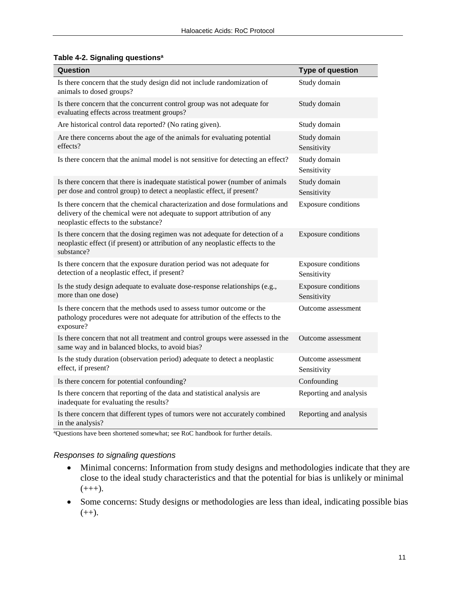|  |  | Table 4-2. Signaling questions <sup>a</sup> |
|--|--|---------------------------------------------|
|--|--|---------------------------------------------|

| Question                                                                                                                                                                                          | <b>Type of question</b>                   |
|---------------------------------------------------------------------------------------------------------------------------------------------------------------------------------------------------|-------------------------------------------|
| Is there concern that the study design did not include randomization of<br>animals to dosed groups?                                                                                               | Study domain                              |
| Is there concern that the concurrent control group was not adequate for<br>evaluating effects across treatment groups?                                                                            | Study domain                              |
| Are historical control data reported? (No rating given).                                                                                                                                          | Study domain                              |
| Are there concerns about the age of the animals for evaluating potential<br>effects?                                                                                                              | Study domain<br>Sensitivity               |
| Is there concern that the animal model is not sensitive for detecting an effect?                                                                                                                  | Study domain<br>Sensitivity               |
| Is there concern that there is inadequate statistical power (number of animals<br>per dose and control group) to detect a neoplastic effect, if present?                                          | Study domain<br>Sensitivity               |
| Is there concern that the chemical characterization and dose formulations and<br>delivery of the chemical were not adequate to support attribution of any<br>neoplastic effects to the substance? | <b>Exposure conditions</b>                |
| Is there concern that the dosing regimen was not adequate for detection of a<br>neoplastic effect (if present) or attribution of any neoplastic effects to the<br>substance?                      | Exposure conditions                       |
| Is there concern that the exposure duration period was not adequate for<br>detection of a neoplastic effect, if present?                                                                          | Exposure conditions<br>Sensitivity        |
| Is the study design adequate to evaluate dose-response relationships (e.g.,<br>more than one dose)                                                                                                | <b>Exposure conditions</b><br>Sensitivity |
| Is there concern that the methods used to assess tumor outcome or the<br>pathology procedures were not adequate for attribution of the effects to the<br>exposure?                                | Outcome assessment                        |
| Is there concern that not all treatment and control groups were assessed in the<br>same way and in balanced blocks, to avoid bias?                                                                | Outcome assessment                        |
| Is the study duration (observation period) adequate to detect a neoplastic<br>effect, if present?                                                                                                 | Outcome assessment<br>Sensitivity         |
| Is there concern for potential confounding?                                                                                                                                                       | Confounding                               |
| Is there concern that reporting of the data and statistical analysis are<br>inadequate for evaluating the results?                                                                                | Reporting and analysis                    |
| Is there concern that different types of tumors were not accurately combined<br>in the analysis?                                                                                                  | Reporting and analysis                    |

a Questions have been shortened somewhat; see RoC handbook for further details.

#### *Responses to signaling questions*

- Minimal concerns: Information from study designs and methodologies indicate that they are close to the ideal study characteristics and that the potential for bias is unlikely or minimal  $(+++)$ .
- Some concerns: Study designs or methodologies are less than ideal, indicating possible bias  $(++).$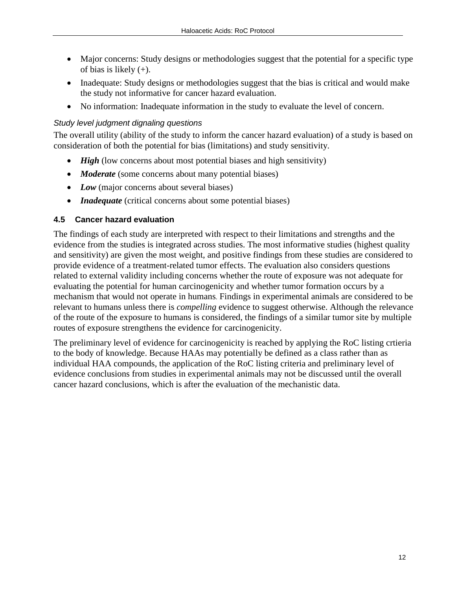- Major concerns: Study designs or methodologies suggest that the potential for a specific type of bias is likely (+).
- Inadequate: Study designs or methodologies suggest that the bias is critical and would make the study not informative for cancer hazard evaluation.
- No information: Inadequate information in the study to evaluate the level of concern.

#### *Study level judgment dignaling questions*

The overall utility (ability of the study to inform the cancer hazard evaluation) of a study is based on consideration of both the potential for bias (limitations) and study sensitivity.

- *High* (low concerns about most potential biases and high sensitivity)
- *Moderate* (some concerns about many potential biases)
- *Low* (major concerns about several biases)
- *Inadequate* (critical concerns about some potential biases)

#### **4.5 Cancer hazard evaluation**

The findings of each study are interpreted with respect to their limitations and strengths and the evidence from the studies is integrated across studies. The most informative studies (highest quality and sensitivity) are given the most weight, and positive findings from these studies are considered to provide evidence of a treatment-related tumor effects. The evaluation also considers questions related to external validity including concerns whether the route of exposure was not adequate for evaluating the potential for human carcinogenicity and whether tumor formation occurs by a mechanism that would not operate in humans. Findings in experimental animals are considered to be relevant to humans unless there is *compelling* evidence to suggest otherwise. Although the relevance of the route of the exposure to humans is considered, the findings of a similar tumor site by multiple routes of exposure strengthens the evidence for carcinogenicity.

The preliminary level of evidence for carcinogenicity is reached by applying the RoC listing crtieria to the body of knowledge. Because HAAs may potentially be defined as a class rather than as individual HAA compounds, the application of the RoC listing criteria and preliminary level of evidence conclusions from studies in experimental animals may not be discussed until the overall cancer hazard conclusions, which is after the evaluation of the mechanistic data.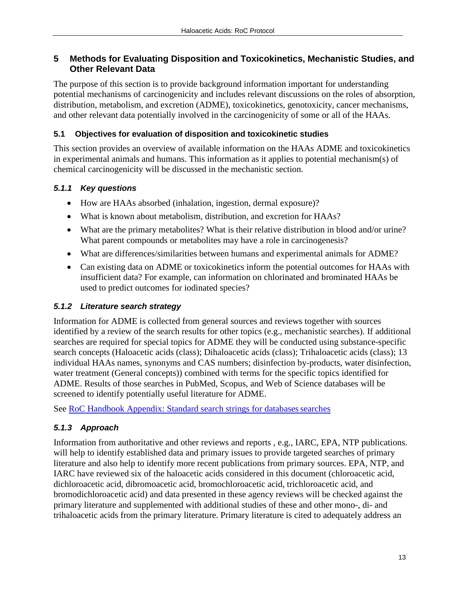### **5 Methods for Evaluating Disposition and Toxicokinetics, Mechanistic Studies, and Other Relevant Data**

The purpose of this section is to provide background information important for understanding potential mechanisms of carcinogenicity and includes relevant discussions on the roles of absorption, distribution, metabolism, and excretion (ADME), toxicokinetics, genotoxicity, cancer mechanisms, and other relevant data potentially involved in the carcinogenicity of some or all of the HAAs.

#### **5.1 Objectives for evaluation of disposition and toxicokinetic studies**

This section provides an overview of available information on the HAAs ADME and toxicokinetics in experimental animals and humans. This information as it applies to potential mechanism(s) of chemical carcinogenicity will be discussed in the mechanistic section.

#### *5.1.1 Key questions*

- How are HAAs absorbed (inhalation, ingestion, dermal exposure)?
- What is known about metabolism, distribution, and excretion for HAAs?
- What are the primary metabolites? What is their relative distribution in blood and/or urine? What parent compounds or metabolites may have a role in carcinogenesis?
- What are differences/similarities between humans and experimental animals for ADME?
- Can existing data on ADME or toxicokinetics inform the potential outcomes for HAAs with insufficient data? For example, can information on chlorinated and brominated HAAs be used to predict outcomes for iodinated species?

#### *5.1.2 Literature search strategy*

Information for ADME is collected from general sources and reviews together with sources identified by a review of the search results for other topics (e.g., mechanistic searches). If additional searches are required for special topics for ADME they will be conducted using substance-specific search concepts (Haloacetic acids (class); Dihaloacetic acids (class); Trihaloacetic acids (class); 13 individual HAAs names, synonyms and CAS numbers; disinfection by-products, water disinfection, water treatment (General concepts)) combined with terms for the specific topics identified for ADME. Results of those searches in PubMed, Scopus, and Web of Science databases will be screened to identify potentially useful literature for ADME.

See RoC Handbook Appendix: Standard search strings for databases searches

## *5.1.3 Approach*

Information from authoritative and other reviews and reports , e.g., IARC, EPA, NTP publications. will help to identify established data and primary issues to provide targeted searches of primary literature and also help to identify more recent publications from primary sources. EPA, NTP, and IARC have reviewed six of the haloacetic acids considered in this document (chloroacetic acid, dichloroacetic acid, dibromoacetic acid, bromochloroacetic acid, trichloroacetic acid, and bromodichloroacetic acid) and data presented in these agency reviews will be checked against the primary literature and supplemented with additional studies of these and other mono-, di- and trihaloacetic acids from the primary literature. Primary literature is cited to adequately address an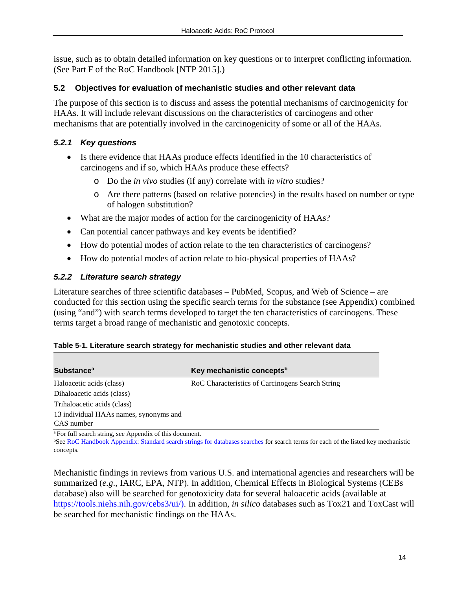issue, such as to obtain detailed information on key questions or to interpret conflicting information. (See Part F of the RoC Handbook [NTP 2015].)

#### **5.2 Objectives for evaluation of mechanistic studies and other relevant data**

The purpose of this section is to discuss and assess the potential mechanisms of carcinogenicity for HAAs. It will include relevant discussions on the characteristics of carcinogens and other mechanisms that are potentially involved in the carcinogenicity of some or all of the HAAs.

## *5.2.1 Key questions*

- Is there evidence that HAAs produce effects identified in the 10 characteristics of carcinogens and if so, which HAAs produce these effects?
	- o Do the *in vivo* studies (if any) correlate with *in vitro* studies?
	- o Are there patterns (based on relative potencies) in the results based on number or type of halogen substitution?
- What are the major modes of action for the carcinogenicity of HAAs?
- Can potential cancer pathways and key events be identified?
- How do potential modes of action relate to the ten characteristics of carcinogens?
- How do potential modes of action relate to bio-physical properties of HAAs?

## *5.2.2 Literature search strategy*

Literature searches of three scientific databases – PubMed, Scopus, and Web of Science – are conducted for this section using the specific search terms for the substance (see Appendix) combined (using "and") with search terms developed to target the ten characteristics of carcinogens. These terms target a broad range of mechanistic and genotoxic concepts.

| Table 5-1. Literature search strategy for mechanistic studies and other relevant data |  |
|---------------------------------------------------------------------------------------|--|
|---------------------------------------------------------------------------------------|--|

| <b>Substance</b> <sup>a</sup>          | Key mechanistic concepts <sup>b</sup>            |
|----------------------------------------|--------------------------------------------------|
| Haloacetic acids (class)               | RoC Characteristics of Carcinogens Search String |
| Dihaloacetic acids (class)             |                                                  |
| Trihaloacetic acids (class)            |                                                  |
| 13 individual HAAs names, synonyms and |                                                  |
| CAS number                             |                                                  |

a For full search string, see Appendix of this document.

**See RoC Handbook Appendix: Standard search strings for databases searches for search terms for each of the listed key mechanistic** concepts.

Mechanistic findings in reviews from various U.S. and international agencies and researchers will be summarized (*e.g*., IARC, EPA, NTP). In addition, Chemical Effects in Biological Systems (CEBs database) also will be searched for genotoxicity data for several haloacetic acids (available at [https://tools.niehs.nih.gov/cebs3/ui/\).](https://tools.niehs.nih.gov/cebs3/ui/)) In addition, *in silico* databases such as Tox21 and ToxCast will be searched for mechanistic findings on the HAAs.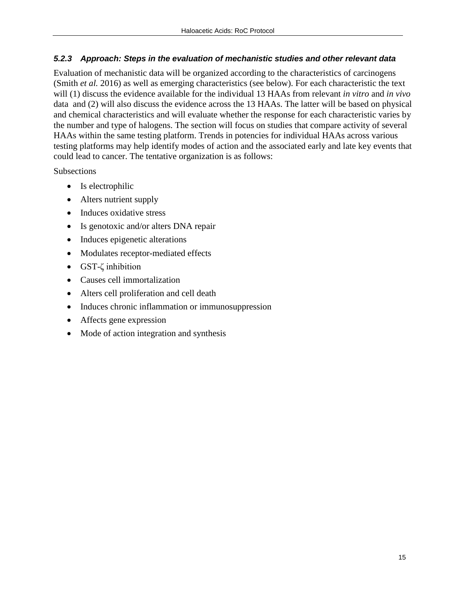#### *5.2.3 Approach: Steps in the evaluation of mechanistic studies and other relevant data*

Evaluation of mechanistic data will be organized according to the characteristics of carcinogens (Smith *et al.* 2016) as well as emerging characteristics (see below). For each characteristic the text will (1) discuss the evidence available for the individual 13 HAAs from relevant *in vitro* and *in vivo* data and (2) will also discuss the evidence across the 13 HAAs. The latter will be based on physical and chemical characteristics and will evaluate whether the response for each characteristic varies by the number and type of halogens. The section will focus on studies that compare activity of several HAAs within the same testing platform. Trends in potencies for individual HAAs across various testing platforms may help identify modes of action and the associated early and late key events that could lead to cancer. The tentative organization is as follows:

**Subsections** 

- Is electrophilic
- Alters nutrient supply
- Induces oxidative stress
- Is genotoxic and/or alters DNA repair
- Induces epigenetic alterations
- Modulates receptor-mediated effects
- GST-ζ inhibition
- Causes cell immortalization
- Alters cell proliferation and cell death
- Induces chronic inflammation or immunosuppression
- Affects gene expression
- Mode of action integration and synthesis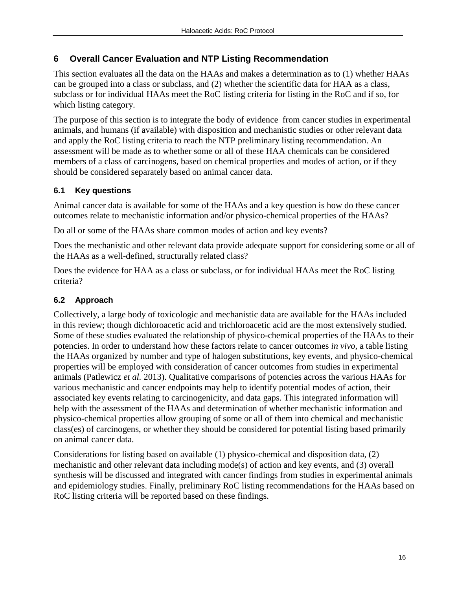## **6 Overall Cancer Evaluation and NTP Listing Recommendation**

This section evaluates all the data on the HAAs and makes a determination as to (1) whether HAAs can be grouped into a class or subclass, and (2) whether the scientific data for HAA as a class, subclass or for individual HAAs meet the RoC listing criteria for listing in the RoC and if so, for which listing category.

The purpose of this section is to integrate the body of evidence from cancer studies in experimental animals, and humans (if available) with disposition and mechanistic studies or other relevant data and apply the RoC listing criteria to reach the NTP preliminary listing recommendation. An assessment will be made as to whether some or all of these HAA chemicals can be considered members of a class of carcinogens, based on chemical properties and modes of action, or if they should be considered separately based on animal cancer data.

## **6.1 Key questions**

Animal cancer data is available for some of the HAAs and a key question is how do these cancer outcomes relate to mechanistic information and/or physico-chemical properties of the HAAs?

Do all or some of the HAAs share common modes of action and key events?

Does the mechanistic and other relevant data provide adequate support for considering some or all of the HAAs as a well-defined, structurally related class?

Does the evidence for HAA as a class or subclass, or for individual HAAs meet the RoC listing criteria?

## **6.2 Approach**

Collectively, a large body of toxicologic and mechanistic data are available for the HAAs included in this review; though dichloroacetic acid and trichloroacetic acid are the most extensively studied. Some of these studies evaluated the relationship of physico-chemical properties of the HAAs to their potencies. In order to understand how these factors relate to cancer outcomes *in vivo*, a table listing the HAAs organized by number and type of halogen substitutions, key events, and physico-chemical properties will be employed with consideration of cancer outcomes from studies in experimental animals (Patlewicz *et al.* 2013). Qualitative comparisons of potencies across the various HAAs for various mechanistic and cancer endpoints may help to identify potential modes of action, their associated key events relating to carcinogenicity, and data gaps. This integrated information will help with the assessment of the HAAs and determination of whether mechanistic information and physico-chemical properties allow grouping of some or all of them into chemical and mechanistic class(es) of carcinogens, or whether they should be considered for potential listing based primarily on animal cancer data.

Considerations for listing based on available (1) physico-chemical and disposition data, (2) mechanistic and other relevant data including mode(s) of action and key events, and (3) overall synthesis will be discussed and integrated with cancer findings from studies in experimental animals and epidemiology studies. Finally, preliminary RoC listing recommendations for the HAAs based on RoC listing criteria will be reported based on these findings.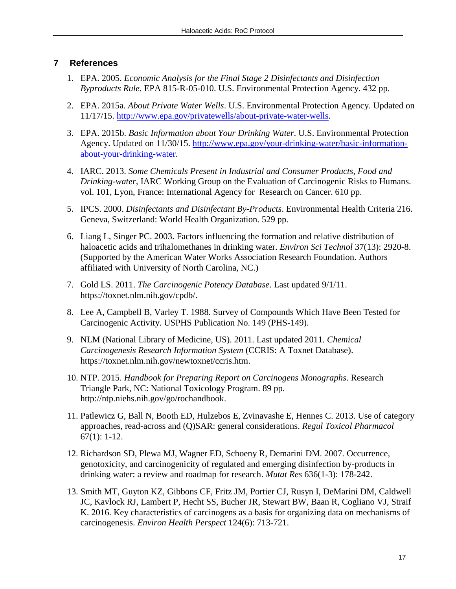## **7 References**

- 1. EPA. 2005. *Economic Analysis for the Final Stage 2 Disinfectants and Disinfection Byproducts Rule*. EPA 815-R-05-010. U.S. Environmental Protection Agency. 432 pp.
- 2. EPA. 2015a. *About Private Water Wells*. U.S. Environmental Protection Agency. Updated on 11/17/15. [http://www.epa.gov/privatewells/about-private-water-wells.](http://www.epa.gov/privatewells/about-private-water-wells)
- 3. EPA. 2015b. *Basic Information about Your Drinking Water*. U.S. Environmental Protection Agency. Updated on 11/30/15. [http://www.epa.gov/your-drinking-water/basic-information](http://www.epa.gov/your-drinking-water/basic-information-about-your-drinking-water)[about-your-drinking-water.](http://www.epa.gov/your-drinking-water/basic-information-about-your-drinking-water)
- 4. IARC. 2013. *Some Chemicals Present in Industrial and Consumer Products, Food and Drinking-water,* IARC Working Group on the Evaluation of Carcinogenic Risks to Humans. vol. 101, Lyon, France: International Agency for Research on Cancer. 610 pp.
- 5. IPCS. 2000. *Disinfectants and Disinfectant By-Products*. Environmental Health Criteria 216. Geneva, Switzerland: World Health Organization. 529 pp.
- 6. Liang L, Singer PC. 2003. Factors influencing the formation and relative distribution of haloacetic acids and trihalomethanes in drinking water. *Environ Sci Technol* 37(13): 2920-8. (Supported by the American Water Works Association Research Foundation. Authors affiliated with University of North Carolina, NC.)
- 7. Gold LS. 2011. *The Carcinogenic Potency Database*. Last updated 9/1/11. https://toxnet.nlm.nih.gov/cpdb/.
- 8. Lee A, Campbell B, Varley T. 1988. Survey of Compounds Which Have Been Tested for Carcinogenic Activity. USPHS Publication No. 149 (PHS-149).
- 9. NLM (National Library of Medicine, US). 2011. Last updated 2011. *Chemical Carcinogenesis Research Information System* (CCRIS: A Toxnet Database). https://toxnet.nlm.nih.gov/newtoxnet/ccris.htm.
- 10. NTP. 2015. *Handbook for Preparing Report on Carcinogens Monographs*. Research Triangle Park, NC: National Toxicology Program. 89 pp. http://ntp.niehs.nih.gov/go/rochandbook.
- 11. Patlewicz G, Ball N, Booth ED, Hulzebos E, Zvinavashe E, Hennes C. 2013. Use of category approaches, read-across and (Q)SAR: general considerations. *Regul Toxicol Pharmacol* 67(1): 1-12.
- 12. Richardson SD, Plewa MJ, Wagner ED, Schoeny R, Demarini DM. 2007. Occurrence, genotoxicity, and carcinogenicity of regulated and emerging disinfection by-products in drinking water: a review and roadmap for research. *Mutat Res* 636(1-3): 178-242.
- 13. Smith MT, Guyton KZ, Gibbons CF, Fritz JM, Portier CJ, Rusyn I, DeMarini DM, Caldwell JC, Kavlock RJ, Lambert P, Hecht SS, Bucher JR, Stewart BW, Baan R, Cogliano VJ, Straif K. 2016. Key characteristics of carcinogens as a basis for organizing data on mechanisms of carcinogenesis. *Environ Health Perspect* 124(6): 713-721.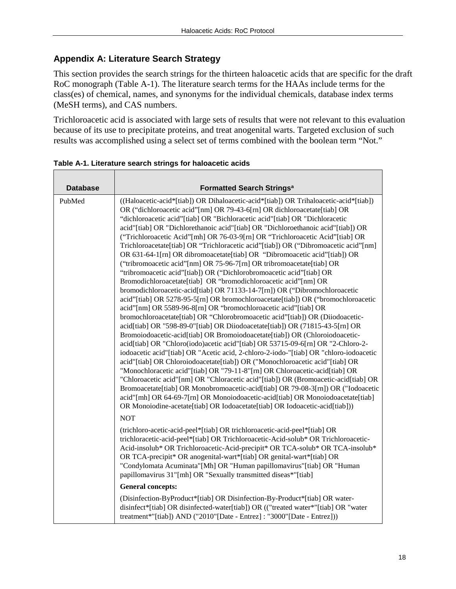#### **Appendix A: Literature Search Strategy**

This section provides the search strings for the thirteen haloacetic acids that are specific for the draft RoC monograph (Table A-1). The literature search terms for the HAAs include terms for the class(es) of chemical, names, and synonyms for the individual chemicals, database index terms (MeSH terms), and CAS numbers.

Trichloroacetic acid is associated with large sets of results that were not relevant to this evaluation because of its use to precipitate proteins, and treat anogenital warts. Targeted exclusion of such results was accomplished using a select set of terms combined with the boolean term "Not."

| <b>Database</b> | <b>Formatted Search Strings<sup>a</sup></b>                                                                                                                                                                                                                                                                                                                                                                                                                                                                                                                                                                                                                                                                                                                                                                                                                                                                                                                                                                                                                                                                                                                                                                                                                                                                                                                                                                                                                                                                                                                                                                                                                                                                                                                                                                                                                                                                                                                                                           |
|-----------------|-------------------------------------------------------------------------------------------------------------------------------------------------------------------------------------------------------------------------------------------------------------------------------------------------------------------------------------------------------------------------------------------------------------------------------------------------------------------------------------------------------------------------------------------------------------------------------------------------------------------------------------------------------------------------------------------------------------------------------------------------------------------------------------------------------------------------------------------------------------------------------------------------------------------------------------------------------------------------------------------------------------------------------------------------------------------------------------------------------------------------------------------------------------------------------------------------------------------------------------------------------------------------------------------------------------------------------------------------------------------------------------------------------------------------------------------------------------------------------------------------------------------------------------------------------------------------------------------------------------------------------------------------------------------------------------------------------------------------------------------------------------------------------------------------------------------------------------------------------------------------------------------------------------------------------------------------------------------------------------------------------|
|                 |                                                                                                                                                                                                                                                                                                                                                                                                                                                                                                                                                                                                                                                                                                                                                                                                                                                                                                                                                                                                                                                                                                                                                                                                                                                                                                                                                                                                                                                                                                                                                                                                                                                                                                                                                                                                                                                                                                                                                                                                       |
| PubMed          | ((Haloacetic-acid*[tiab]) OR Dihaloacetic-acid*[tiab]) OR Trihaloacetic-acid*[tiab])<br>OR ("dichloroacetic acid"[nm] OR 79-43-6[rn] OR dichloroacetate[tiab] OR<br>"dichloroacetic acid"[tiab] OR "Bichloracetic acid"[tiab] OR "Dichloracetic<br>acid"[tiab] OR "Dichlorethanoic acid"[tiab] OR "Dichloroethanoic acid"[tiab]) OR<br>("Trichloroacetic Acid"[mh] OR 76-03-9[rn] OR "Trichloroacetic Acid"[tiab] OR<br>Trichloroacetate[tiab] OR "Trichloracetic acid"[tiab]) OR ("Dibromoacetic acid"[nm]<br>OR 631-64-1[rn] OR dibromoacetate[tiab] OR "Dibromoacetic acid"[tiab]) OR<br>("tribromoacetic acid"[nm] OR 75-96-7[rn] OR tribromoacetate[tiab] OR<br>"tribromoacetic acid"[tiab]) OR ("Dichlorobromoacetic acid"[tiab] OR<br>Bromodichloroacetate[tiab] OR "bromodichloroacetic acid"[nm] OR<br>bromodichloroacetic-acid[tiab] OR 71133-14-7[rn]) OR ("Dibromochloroacetic<br>acid"[tiab] OR 5278-95-5[rn] OR bromochloroacetate[tiab]) OR ("bromochloroacetic<br>acid"[nm] OR 5589-96-8[rn] OR "bromochloroacetic acid"[tiab] OR<br>bromochloroacetate[tiab] OR "Chlorobromoacetic acid"[tiab]) OR (Diiodoacetic-<br>acid[tiab] OR "598-89-0"[tiab] OR Diiodoacetate[tiab]) OR (71815-43-5[rn] OR<br>Bromoiodoacetic-acid[tiab] OR Bromoiodoacetate[tiab]) OR (Chloroiodoacetic-<br>acid[tiab] OR "Chloro(iodo)acetic acid"[tiab] OR 53715-09-6[rn] OR "2-Chloro-2-<br>iodoacetic acid"[tiab] OR "Acetic acid, 2-chloro-2-iodo-"[tiab] OR "chloro-iodoacetic<br>acid"[tiab] OR Chloroiodoacetate[tiab]) OR ("Monochloroacetic acid"[tiab] OR<br>"Monochloracetic acid"[tiab] OR "79-11-8"[rn] OR Chloroacetic-acid[tiab] OR<br>"Chloroacetic acid"[nm] OR "Chloracetic acid"[tiab]) OR (Bromoacetic-acid[tiab] OR<br>Bromoacetate[tiab] OR Monobromoacetic-acid[tiab] OR 79-08-3[rn]) OR ("Iodoacetic<br>acid"[mh] OR 64-69-7[rn] OR Monoiodoacetic-acid[tiab] OR Monoiodoacetate[tiab]<br>OR Monoiodine-acetate[tiab] OR Iodoacetate[tiab] OR Iodoacetic-acid[tiab]))<br><b>NOT</b> |
|                 | (trichloro-acetic-acid-peel*[tiab] OR trichloroacetic-acid-peel*[tiab] OR<br>trichloracetic-acid-peel*[tiab] OR Trichloroacetic-Acid-solub* OR Trichloroacetic-<br>Acid-insolub* OR Trichloroacetic-Acid-precipit* OR TCA-solub* OR TCA-insolub*<br>OR TCA-precipit* OR anogenital-wart*[tiab] OR genital-wart*[tiab] OR<br>"Condylomata Acuminata"[Mh] OR "Human papillomavirus"[tiab] OR "Human<br>papillomavirus 31"[mh] OR "Sexually transmitted diseas*"[tiab]                                                                                                                                                                                                                                                                                                                                                                                                                                                                                                                                                                                                                                                                                                                                                                                                                                                                                                                                                                                                                                                                                                                                                                                                                                                                                                                                                                                                                                                                                                                                   |
|                 | <b>General concepts:</b>                                                                                                                                                                                                                                                                                                                                                                                                                                                                                                                                                                                                                                                                                                                                                                                                                                                                                                                                                                                                                                                                                                                                                                                                                                                                                                                                                                                                                                                                                                                                                                                                                                                                                                                                                                                                                                                                                                                                                                              |
|                 | (Disinfection-ByProduct*[tiab] OR Disinfection-By-Product*[tiab] OR water-<br>disinfect*[tiab] OR disinfected-water[tiab]) OR (("treated water*"[tiab] OR "water<br>treatment*"[tiab]) AND ("2010"[Date - Entrez]: "3000"[Date - Entrez]))                                                                                                                                                                                                                                                                                                                                                                                                                                                                                                                                                                                                                                                                                                                                                                                                                                                                                                                                                                                                                                                                                                                                                                                                                                                                                                                                                                                                                                                                                                                                                                                                                                                                                                                                                            |

**Table A-1. Literature search strings for haloacetic acids**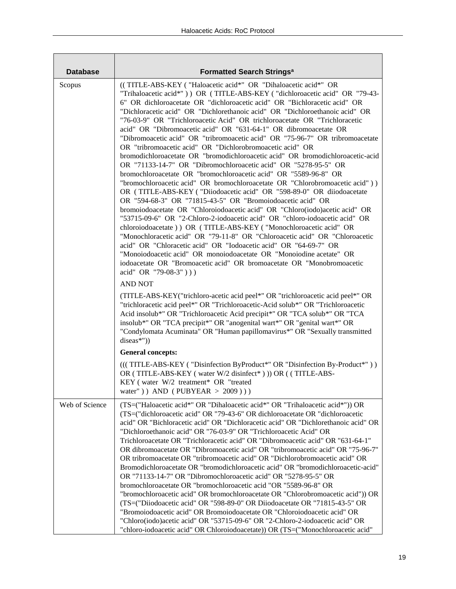| <b>Database</b> | <b>Formatted Search Strings<sup>a</sup></b>                                                                                                                                                                                                                                                                                                                                                                                                                                                                                                                                                                                                                                                                                                                                                                                                                                                                                                                                                                                                                                                                                                                                                                                                                                                                                                                                                                                                                                                                                                                                                                                                                                                                                                                                                                                                                                                                                                                                   |
|-----------------|-------------------------------------------------------------------------------------------------------------------------------------------------------------------------------------------------------------------------------------------------------------------------------------------------------------------------------------------------------------------------------------------------------------------------------------------------------------------------------------------------------------------------------------------------------------------------------------------------------------------------------------------------------------------------------------------------------------------------------------------------------------------------------------------------------------------------------------------------------------------------------------------------------------------------------------------------------------------------------------------------------------------------------------------------------------------------------------------------------------------------------------------------------------------------------------------------------------------------------------------------------------------------------------------------------------------------------------------------------------------------------------------------------------------------------------------------------------------------------------------------------------------------------------------------------------------------------------------------------------------------------------------------------------------------------------------------------------------------------------------------------------------------------------------------------------------------------------------------------------------------------------------------------------------------------------------------------------------------------|
| Scopus          | ((TITLE-ABS-KEY ("Haloacetic acid*" OR "Dihaloacetic acid*" OR<br>"Trihaloacetic acid*")) OR (TITLE-ABS-KEY ("dichloroacetic acid" OR "79-43-<br>6" OR dichloroacetate OR "dichloroacetic acid" OR "Bichloracetic acid" OR<br>"Dichloracetic acid" OR "Dichlorethanoic acid" OR "Dichloroethanoic acid" OR<br>"76-03-9" OR "Trichloroacetic Acid" OR trichloroacetate OR "Trichloracetic<br>acid" OR "Dibromoacetic acid" OR "631-64-1" OR dibromoacetate OR<br>"Dibromoacetic acid" OR "tribromoacetic acid" OR "75-96-7" OR tribromoacetate<br>OR "tribromoacetic acid" OR "Dichlorobromoacetic acid" OR<br>bromodichloroacetate OR "bromodichloroacetic acid" OR bromodichloroacetic-acid<br>OR "71133-14-7" OR "Dibromochloroacetic acid" OR "5278-95-5" OR<br>bromochloroacetate OR "bromochloroacetic acid" OR "5589-96-8" OR<br>"bromochloroacetic acid" OR bromochloroacetate OR "Chlorobromoacetic acid"))<br>OR (TITLE-ABS-KEY ("Diiodoacetic acid" OR "598-89-0" OR diiodoacetate<br>OR "594-68-3" OR "71815-43-5" OR "Bromoiodoacetic acid" OR<br>bromoiodoacetate OR "Chloroiodoacetic acid" OR "Chloro(iodo)acetic acid" OR<br>"53715-09-6" OR "2-Chloro-2-iodoacetic acid" OR "chloro-iodoacetic acid" OR<br>chloroiodoacetate) ) OR (TITLE-ABS-KEY ("Monochloroacetic acid" OR<br>"Monochloracetic acid" OR "79-11-8" OR "Chloroacetic acid" OR "Chloroacetic<br>acid" OR "Chloracetic acid" OR "Iodoacetic acid" OR "64-69-7" OR<br>"Monoiodoacetic acid" OR monoiodoacetate OR "Monoiodine acetate" OR<br>iodoacetate OR "Bromoacetic acid" OR bromoacetate OR "Monobromoacetic<br>acid" OR "79-08-3")))<br><b>AND NOT</b><br>(TITLE-ABS-KEY("trichloro-acetic acid peel*" OR "trichloroacetic acid peel*" OR<br>"trichloracetic acid peel*" OR "Trichloroacetic-Acid solub*" OR "Trichloroacetic<br>Acid insolub*" OR "Trichloroacetic Acid precipit*" OR "TCA solub*" OR "TCA<br>insolub*" OR "TCA precipit*" OR "anogenital wart*" OR "genital wart*" OR |
|                 | "Condylomata Acuminata" OR "Human papillomavirus*" OR "Sexually transmitted<br>diseas*"))                                                                                                                                                                                                                                                                                                                                                                                                                                                                                                                                                                                                                                                                                                                                                                                                                                                                                                                                                                                                                                                                                                                                                                                                                                                                                                                                                                                                                                                                                                                                                                                                                                                                                                                                                                                                                                                                                     |
|                 | <b>General concepts:</b>                                                                                                                                                                                                                                                                                                                                                                                                                                                                                                                                                                                                                                                                                                                                                                                                                                                                                                                                                                                                                                                                                                                                                                                                                                                                                                                                                                                                                                                                                                                                                                                                                                                                                                                                                                                                                                                                                                                                                      |
|                 | (((TITLE-ABS-KEY ("Disinfection ByProduct*" OR "Disinfection By-Product*"))<br>OR (TITLE-ABS-KEY (water W/2 disinfect*))) OR ((TITLE-ABS-<br>KEY (water W/2 treatment* OR "treated<br>water") $\Delta$ AND (PUBYEAR > 2009))                                                                                                                                                                                                                                                                                                                                                                                                                                                                                                                                                                                                                                                                                                                                                                                                                                                                                                                                                                                                                                                                                                                                                                                                                                                                                                                                                                                                                                                                                                                                                                                                                                                                                                                                                  |
| Web of Science  | (TS=("Haloacetic acid*" OR "Dihaloacetic acid*" OR "Trihaloacetic acid*")) OR<br>(TS=("dichloroacetic acid" OR "79-43-6" OR dichloroacetate OR "dichloroacetic<br>acid" OR "Bichloracetic acid" OR "Dichloracetic acid" OR "Dichlorethanoic acid" OR<br>"Dichloroethanoic acid" OR "76-03-9" OR "Trichloroacetic Acid" OR<br>Trichloroacetate OR "Trichloracetic acid" OR "Dibromoacetic acid" OR "631-64-1"<br>OR dibromoacetate OR "Dibromoacetic acid" OR "tribromoacetic acid" OR "75-96-7"<br>OR tribromoacetate OR "tribromoacetic acid" OR "Dichlorobromoacetic acid" OR<br>Bromodichloroacetate OR "bromodichloroacetic acid" OR "bromodichloroacetic-acid"<br>OR "71133-14-7" OR "Dibromochloroacetic acid" OR "5278-95-5" OR<br>bromochloroacetate OR "bromochloroacetic acid "OR "5589-96-8" OR<br>"bromochloroacetic acid" OR bromochloroacetate OR "Chlorobromoacetic acid")) OR<br>(TS=("Diiodoacetic acid" OR "598-89-0" OR Diiodoacetate OR "71815-43-5" OR<br>"Bromoiodoacetic acid" OR Bromoiodoacetate OR "Chloroiodoacetic acid" OR<br>"Chloro(iodo)acetic acid" OR "53715-09-6" OR "2-Chloro-2-iodoacetic acid" OR<br>"chloro-iodoacetic acid" OR Chloroiodoacetate)) OR (TS=("Monochloroacetic acid"                                                                                                                                                                                                                                                                                                                                                                                                                                                                                                                                                                                                                                                                                                                                                    |